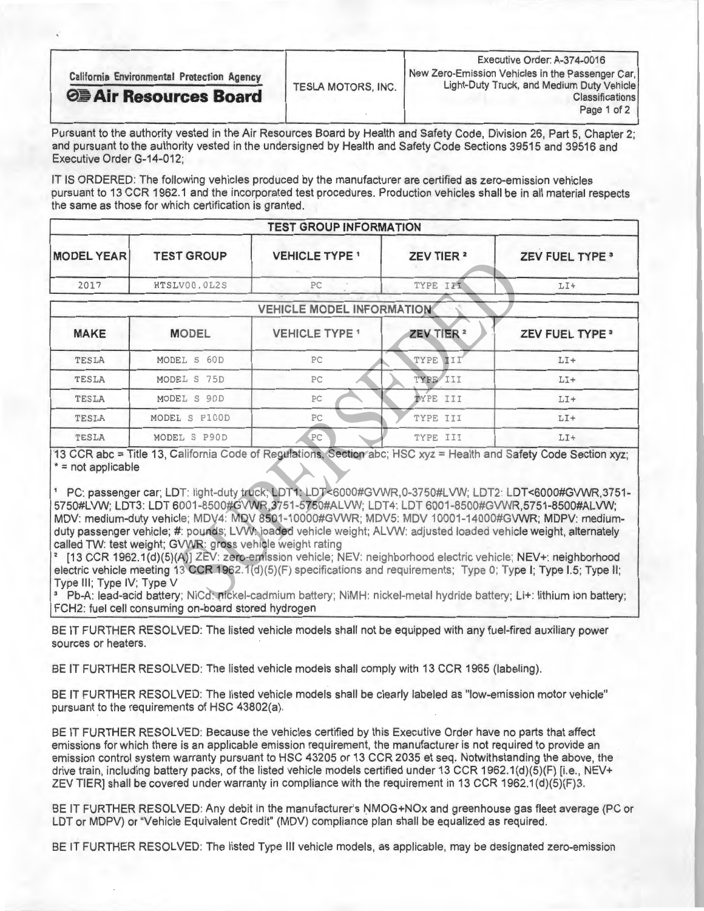| <b>California Environmental Protection Agency</b> | <b>TESLA MOTORS, INC.</b> | Executive Order: A-374-0016<br>  New Zero-Emission Vehicles in the Passenger Car,  |  |
|---------------------------------------------------|---------------------------|------------------------------------------------------------------------------------|--|
| <b>O Air Resources Board</b>                      |                           | Light-Duty Truck, and Medium Duty Vehicle<br><b>Classifications</b><br>Page 1 of 2 |  |

Pursuant to the authority vested in the Air Resources Board by Health and Safety Code, Division 26, Part 5, Chapter 2; and pursuant to the authority vested in the undersigned by Health and Safety Code Sections 39515 and 39516 and Executive Order G-14-012;

IT IS ORDERED: The following vehicles produced by the manufacturer are certified as zero-emission vehicles pursuant to 13 CCR 1962.1 and the incorporated test procedures. Production vehicles shall be in all material respects the same as those for which certification is granted.

| <b>TEST GROUP INFORMATION</b>    |                   |                                 |                       |                            |  |  |
|----------------------------------|-------------------|---------------------------------|-----------------------|----------------------------|--|--|
| <b>MODEL YEAR</b>                | <b>TEST GROUP</b> | <b>VEHICLE TYPE 1</b>           | ZEV TIER <sup>2</sup> | <b>ZEV FUEL TYPE 3</b>     |  |  |
| 2017                             | HTSLV00.0L2S      | PC                              | TYPE III              | $LT+$                      |  |  |
| <b>VEHICLE MODEL INFORMATION</b> |                   |                                 |                       |                            |  |  |
| <b>MAKE</b>                      | <b>MODEL</b>      | <b>VEHICLE TYPE<sup>1</sup></b> | ZEV TIER <sup>2</sup> | ZEV FUEL TYPE <sup>3</sup> |  |  |
| TESLA                            | MODEL S 60D       | PC                              | TYPE<br>III           | $LI+$                      |  |  |
| <b>TESLA</b>                     | MODEL S 75D       | PC                              | TYPE III              | $LT+$                      |  |  |
| TESLA                            | MODEL S 90D       | PC                              | TYPE III              | $LI+$                      |  |  |
| TESLA                            | MODEL S P100D     | PC                              | TYPE III              | $LT+$                      |  |  |
| <b>TESLA</b>                     | MODEL S P90D      | PC                              | TYPE III              | $LI+$                      |  |  |

13 CCR abc = Title 13, California Code of Regulations, Section abc; HSC xyz = Health and Safety Code Section xyz;  $* = not applicable$ 

' PC: passenger car; LDT: light-duty truck; LDT1: LDT<6000#GVWR,0-3750#LVW; LDT2: LDT<6000#GVWR,3751- 5750#LVW; LDT3: LDT 6001-8500#GVWR.3751-5750#ALVW; LDT4: LDT 6001-8500#GVWR,5751-8500#ALVW; MDV: medium-duty vehicle; MDV4: MDV 8501-10000#GVWR; MDV5: MDV 10001-14000#GVWR; MDPV: mediumduty passenger vehicle; #: pounds; LVW: loaded vehicle weight; ALVW: adjusted loaded vehicle weight, alternately called TW: test weight; GVWR: gross vehicle weight rating

[13 CCR 1962.1(d)(5)(A)] ZEV: zero-emission vehicle; NEV: neighborhood electric vehicle; NEV+: neighborhood electric vehicle meeting 13 CCR 1962.1(d)(5)(F) specifications and requirements; Type 0; Type I; Type I.5; Type II; Type Ill; Type IV; Type V

\* Pb-A: lead-acid battery; NiCd: pickel-cadmium battery; NIMH: nickel-metal hydride battery; Li+: lithium ion battery; FCH2: fuel cell consuming on-board stored hydrogen

BE IT FURTHER RESOLVED: The listed vehicle models shall not be equipped with any fuel-fired auxiliary power sources or heaters.

BE IT FURTHER RESOLVED: The listed vehicle models shall comply with 13 CCR 1965 (labeling).

BE IT FURTHER RESOLVED: The listed vehicle models shall be clearly labeled as "low-emission motor vehicle" pursuant to the requirements of HSC 43802(a).

BE IT FURTHER RESOLVED: Because the vehicles certified by this Executive Order have no parts that affect emissions for which there is an applicable emission requirement, the manufacturer is not required to provide an emission control system warranty pursuant to HSC 43205 or 13 CCR 2035 et seq. Notwithstanding the above, the drive train, including battery packs, of the listed vehicle models certified under 13 CCR 1962.1(d)(5)(F) [i.e., NEV+ ZEV TIER] shall be covered under warranty in compliance with the requirement in 13 CCR 1962.1(d)(5)(F)3.

BE IT FURTHER RESOLVED: Any debit in the manufacturer's NMOG+NOx and greenhouse gas fleet average (PC or LDT or MDPV) or "Vehicle Equivalent Credit" (MDV) compliance plan shall be equalized as required.

BE IT FURTHER RESOLVED: The listed Type Ill vehicle models, as applicable, may be designated zero-emission